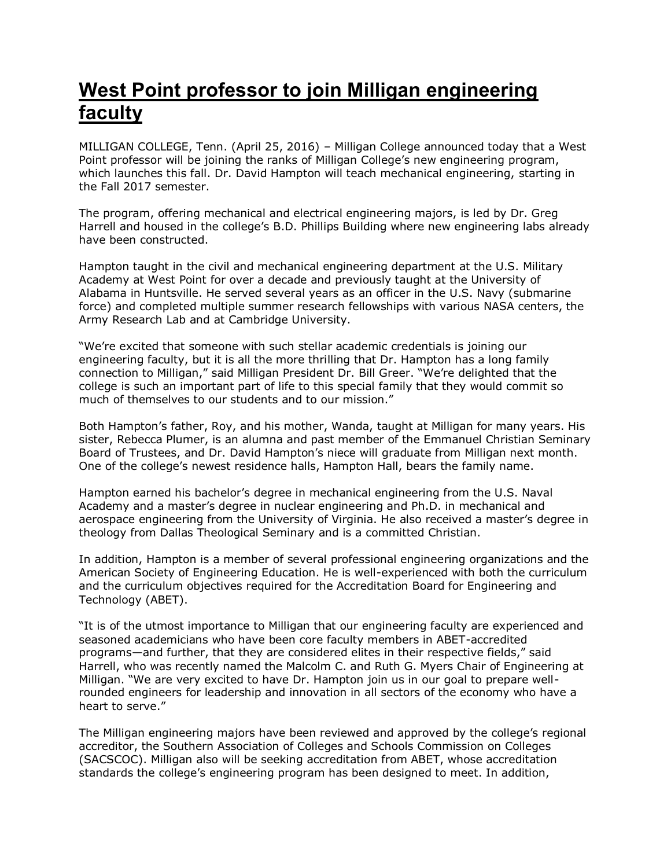## **West Point professor to join Milligan engineering faculty**

MILLIGAN COLLEGE, Tenn. (April 25, 2016) – Milligan College announced today that a West Point professor will be joining the ranks of Milligan College's new engineering program, which launches this fall. Dr. David Hampton will teach mechanical engineering, starting in the Fall 2017 semester.

The program, offering mechanical and electrical engineering majors, is led by Dr. Greg Harrell and housed in the college's B.D. Phillips Building where new engineering labs already have been constructed.

Hampton taught in the civil and mechanical engineering department at the U.S. Military Academy at West Point for over a decade and previously taught at the University of Alabama in Huntsville. He served several years as an officer in the U.S. Navy (submarine force) and completed multiple summer research fellowships with various NASA centers, the Army Research Lab and at Cambridge University.

"We're excited that someone with such stellar academic credentials is joining our engineering faculty, but it is all the more thrilling that Dr. Hampton has a long family connection to Milligan," said Milligan President Dr. Bill Greer. "We're delighted that the college is such an important part of life to this special family that they would commit so much of themselves to our students and to our mission."

Both Hampton's father, Roy, and his mother, Wanda, taught at Milligan for many years. His sister, Rebecca Plumer, is an alumna and past member of the Emmanuel Christian Seminary Board of Trustees, and Dr. David Hampton's niece will graduate from Milligan next month. One of the college's newest residence halls, Hampton Hall, bears the family name.

Hampton earned his bachelor's degree in mechanical engineering from the U.S. Naval Academy and a master's degree in nuclear engineering and Ph.D. in mechanical and aerospace engineering from the University of Virginia. He also received a master's degree in theology from Dallas Theological Seminary and is a committed Christian.

In addition, Hampton is a member of several professional engineering organizations and the American Society of Engineering Education. He is well-experienced with both the curriculum and the curriculum objectives required for the Accreditation Board for Engineering and Technology (ABET).

"It is of the utmost importance to Milligan that our engineering faculty are experienced and seasoned academicians who have been core faculty members in ABET-accredited programs—and further, that they are considered elites in their respective fields," said Harrell, who was recently named the Malcolm C. and Ruth G. Myers Chair of Engineering at Milligan. "We are very excited to have Dr. Hampton join us in our goal to prepare wellrounded engineers for leadership and innovation in all sectors of the economy who have a heart to serve."

The Milligan engineering majors have been reviewed and approved by the college's regional accreditor, the Southern Association of Colleges and Schools Commission on Colleges (SACSCOC). Milligan also will be seeking accreditation from ABET, whose accreditation standards the college's engineering program has been designed to meet. In addition,